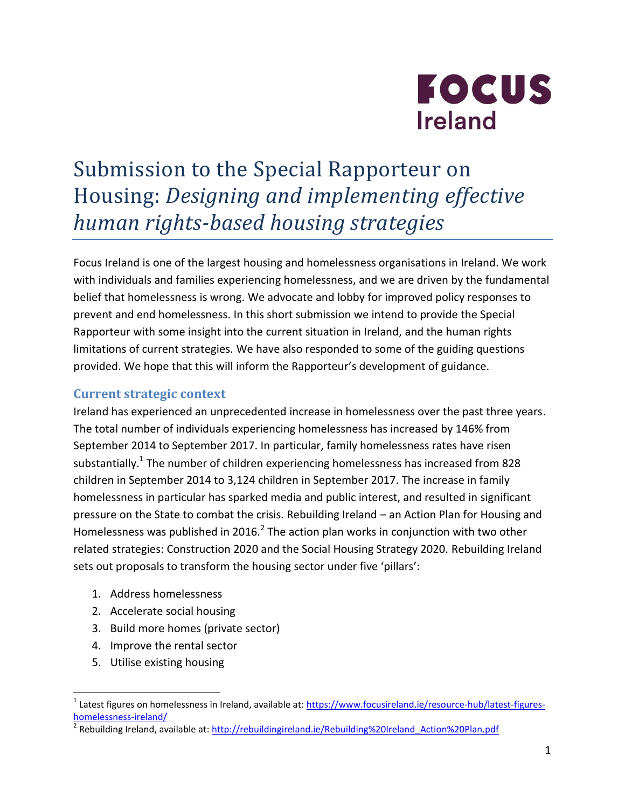

# Submission to the Special Rapporteur on Housing: *Designing and implementing effective human rights-based housing strategies*

Focus Ireland is one of the largest housing and homelessness organisations in Ireland. We work with individuals and families experiencing homelessness, and we are driven by the fundamental belief that homelessness is wrong. We advocate and lobby for improved policy responses to prevent and end homelessness. In this short submission we intend to provide the Special Rapporteur with some insight into the current situation in Ireland, and the human rights limitations of current strategies. We have also responded to some of the guiding questions provided. We hope that this will inform the Rapporteur's development of guidance.

#### **Current strategic context**

Ireland has experienced an unprecedented increase in homelessness over the past three years. The total number of individuals experiencing homelessness has increased by 146% from September 2014 to September 2017. In particular, family homelessness rates have risen substantially.<sup>1</sup> The number of children experiencing homelessness has increased from 828 children in September 2014 to 3,124 children in September 2017. The increase in family homelessness in particular has sparked media and public interest, and resulted in significant pressure on the State to combat the crisis. Rebuilding Ireland – an Action Plan for Housing and Homelessness was published in 2016.<sup>2</sup> The action plan works in conjunction with two other related strategies: Construction 2020 and the Social Housing Strategy 2020. Rebuilding Ireland sets out proposals to transform the housing sector under five 'pillars':

- 1. Address homelessness
- 2. Accelerate social housing
- 3. Build more homes (private sector)
- 4. Improve the rental sector
- 5. Utilise existing housing

 $\overline{a}$ 

<sup>&</sup>lt;sup>1</sup> Latest figures on homelessness in Ireland, available at: [https://www.focusireland.ie/resource-hub/latest-figures](https://www.focusireland.ie/resource-hub/latest-figures-homelessness-ireland/)[homelessness-ireland/](https://www.focusireland.ie/resource-hub/latest-figures-homelessness-ireland/)

<sup>&</sup>lt;sup>2</sup> Rebuilding Ireland, available at[: http://rebuildingireland.ie/Rebuilding%20Ireland\\_Action%20Plan.pdf](http://rebuildingireland.ie/Rebuilding%20Ireland_Action%20Plan.pdf)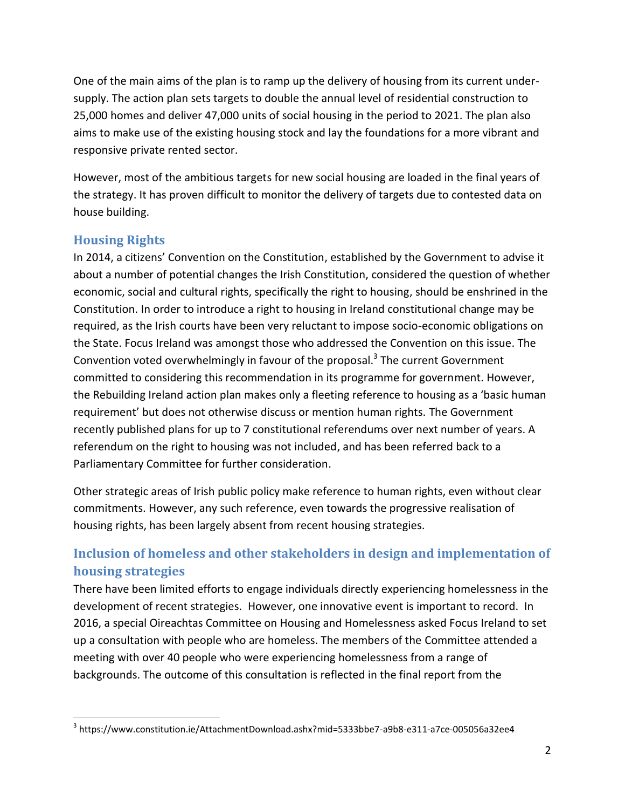One of the main aims of the plan is to ramp up the delivery of housing from its current undersupply. The action plan sets targets to double the annual level of residential construction to 25,000 homes and deliver 47,000 units of social housing in the period to 2021. The plan also aims to make use of the existing housing stock and lay the foundations for a more vibrant and responsive private rented sector.

However, most of the ambitious targets for new social housing are loaded in the final years of the strategy. It has proven difficult to monitor the delivery of targets due to contested data on house building.

## **Housing Rights**

 $\overline{a}$ 

In 2014, a citizens' Convention on the Constitution, established by the Government to advise it about a number of potential changes the Irish Constitution, considered the question of whether economic, social and cultural rights, specifically the right to housing, should be enshrined in the Constitution. In order to introduce a right to housing in Ireland constitutional change may be required, as the Irish courts have been very reluctant to impose socio-economic obligations on the State. Focus Ireland was amongst those who addressed the Convention on this issue. The Convention voted overwhelmingly in favour of the proposal.<sup>3</sup> The current Government committed to considering this recommendation in its programme for government. However, the Rebuilding Ireland action plan makes only a fleeting reference to housing as a 'basic human requirement' but does not otherwise discuss or mention human rights. The Government recently published plans for up to 7 constitutional referendums over next number of years. A referendum on the right to housing was not included, and has been referred back to a Parliamentary Committee for further consideration.

Other strategic areas of Irish public policy make reference to human rights, even without clear commitments. However, any such reference, even towards the progressive realisation of housing rights, has been largely absent from recent housing strategies.

## **Inclusion of homeless and other stakeholders in design and implementation of housing strategies**

There have been limited efforts to engage individuals directly experiencing homelessness in the development of recent strategies. However, one innovative event is important to record. In 2016, a special Oireachtas Committee on Housing and Homelessness asked Focus Ireland to set up a consultation with people who are homeless. The members of the Committee attended a meeting with over 40 people who were experiencing homelessness from a range of backgrounds. The outcome of this consultation is reflected in the final report from the

<sup>3</sup> https://www.constitution.ie/AttachmentDownload.ashx?mid=5333bbe7-a9b8-e311-a7ce-005056a32ee4